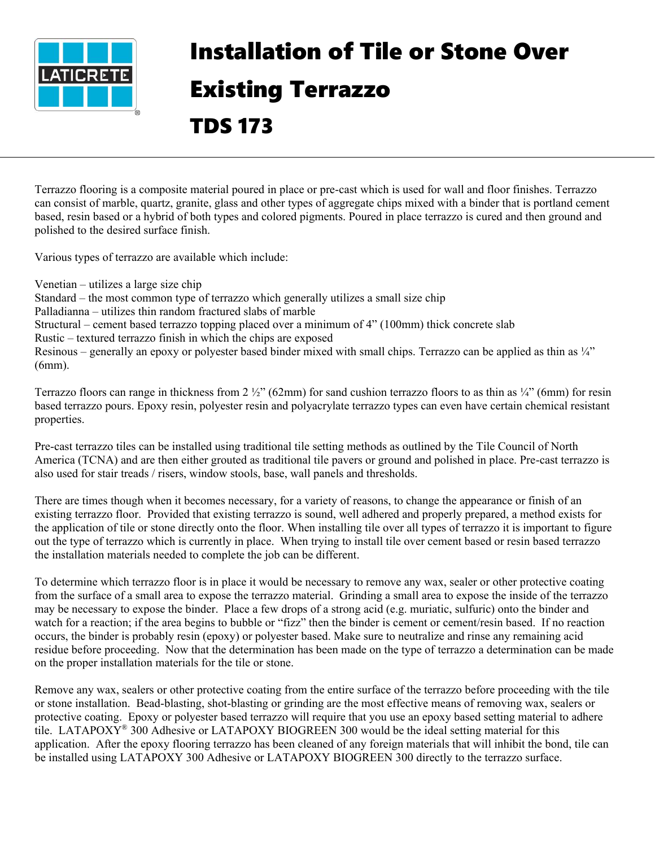

## Installation of Tile or Stone Over Existing Terrazzo TDS 173

Terrazzo flooring is a composite material poured in place or pre-cast which is used for wall and floor finishes. Terrazzo can consist of marble, quartz, granite, glass and other types of aggregate chips mixed with a binder that is portland cement based, resin based or a hybrid of both types and colored pigments. Poured in place terrazzo is cured and then ground and polished to the desired surface finish.

Various types of terrazzo are available which include:

Venetian – utilizes a large size chip Standard – the most common type of terrazzo which generally utilizes a small size chip Palladianna – utilizes thin random fractured slabs of marble Structural – cement based terrazzo topping placed over a minimum of 4" (100mm) thick concrete slab Rustic – textured terrazzo finish in which the chips are exposed Resinous – generally an epoxy or polyester based binder mixed with small chips. Terrazzo can be applied as thin as ¼" (6mm).

Terrazzo floors can range in thickness from  $2 \frac{1}{2}$ " (62mm) for sand cushion terrazzo floors to as thin as  $\frac{1}{4}$ " (6mm) for resin based terrazzo pours. Epoxy resin, polyester resin and polyacrylate terrazzo types can even have certain chemical resistant properties.

Pre-cast terrazzo tiles can be installed using traditional tile setting methods as outlined by the Tile Council of North America (TCNA) and are then either grouted as traditional tile pavers or ground and polished in place. Pre-cast terrazzo is also used for stair treads / risers, window stools, base, wall panels and thresholds.

There are times though when it becomes necessary, for a variety of reasons, to change the appearance or finish of an existing terrazzo floor. Provided that existing terrazzo is sound, well adhered and properly prepared, a method exists for the application of tile or stone directly onto the floor. When installing tile over all types of terrazzo it is important to figure out the type of terrazzo which is currently in place. When trying to install tile over cement based or resin based terrazzo the installation materials needed to complete the job can be different.

To determine which terrazzo floor is in place it would be necessary to remove any wax, sealer or other protective coating from the surface of a small area to expose the terrazzo material. Grinding a small area to expose the inside of the terrazzo may be necessary to expose the binder. Place a few drops of a strong acid (e.g. muriatic, sulfuric) onto the binder and watch for a reaction; if the area begins to bubble or "fizz" then the binder is cement or cement/resin based. If no reaction occurs, the binder is probably resin (epoxy) or polyester based. Make sure to neutralize and rinse any remaining acid residue before proceeding. Now that the determination has been made on the type of terrazzo a determination can be made on the proper installation materials for the tile or stone.

Remove any wax, sealers or other protective coating from the entire surface of the terrazzo before proceeding with the tile or stone installation. Bead-blasting, shot-blasting or grinding are the most effective means of removing wax, sealers or protective coating. Epoxy or polyester based terrazzo will require that you use an epoxy based setting material to adhere tile. LATAPOXY<sup>®</sup> 300 Adhesive or LATAPOXY BIOGREEN 300 would be the ideal setting material for this application. After the epoxy flooring terrazzo has been cleaned of any foreign materials that will inhibit the bond, tile can be installed using LATAPOXY 300 Adhesive or LATAPOXY BIOGREEN 300 directly to the terrazzo surface.